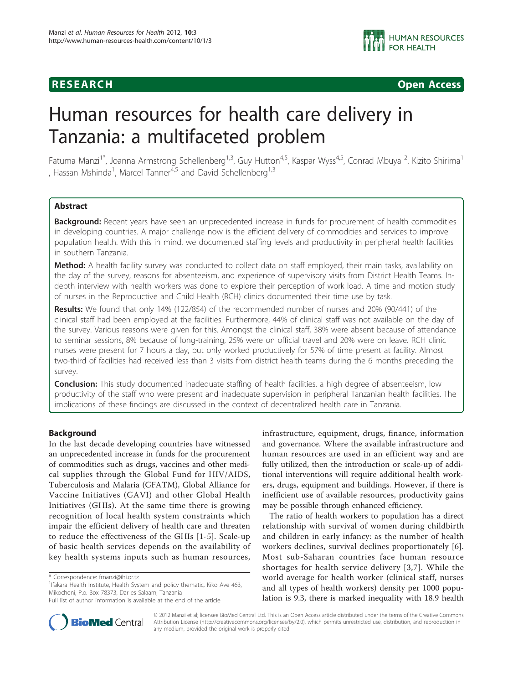# **RESEARCH CONTROL** CONTROL CONTROL CONTROL CONTROL CONTROL CONTROL CONTROL CONTROL CONTROL CONTROL CONTROL CONTROL CONTROL CONTROL CONTROL CONTROL CONTROL CONTROL CONTROL CONTROL CONTROL CONTROL CONTROL CONTROL CONTROL CON

# Human resources for health care delivery in Tanzania: a multifaceted problem

Fatuma Manzi<sup>1\*</sup>, Joanna Armstrong Schellenberg<sup>1,3</sup>, Guy Hutton<sup>4,5</sup>, Kaspar Wyss<sup>4,5</sup>, Conrad Mbuya <sup>2</sup>, Kizito Shirima<sup>1</sup> , Hassan Mshinda<sup>1</sup>, Marcel Tanner<sup>4,5</sup> and David Schellenberg<sup>1,3</sup>

# Abstract

Background: Recent years have seen an unprecedented increase in funds for procurement of health commodities in developing countries. A major challenge now is the efficient delivery of commodities and services to improve population health. With this in mind, we documented staffing levels and productivity in peripheral health facilities in southern Tanzania.

Method: A health facility survey was conducted to collect data on staff employed, their main tasks, availability on the day of the survey, reasons for absenteeism, and experience of supervisory visits from District Health Teams. Indepth interview with health workers was done to explore their perception of work load. A time and motion study of nurses in the Reproductive and Child Health (RCH) clinics documented their time use by task.

Results: We found that only 14% (122/854) of the recommended number of nurses and 20% (90/441) of the clinical staff had been employed at the facilities. Furthermore, 44% of clinical staff was not available on the day of the survey. Various reasons were given for this. Amongst the clinical staff, 38% were absent because of attendance to seminar sessions, 8% because of long-training, 25% were on official travel and 20% were on leave. RCH clinic nurses were present for 7 hours a day, but only worked productively for 57% of time present at facility. Almost two-third of facilities had received less than 3 visits from district health teams during the 6 months preceding the survey.

**Conclusion:** This study documented inadequate staffing of health facilities, a high degree of absenteeism, low productivity of the staff who were present and inadequate supervision in peripheral Tanzanian health facilities. The implications of these findings are discussed in the context of decentralized health care in Tanzania.

# **Background**

In the last decade developing countries have witnessed an unprecedented increase in funds for the procurement of commodities such as drugs, vaccines and other medical supplies through the Global Fund for HIV/AIDS, Tuberculosis and Malaria (GFATM), Global Alliance for Vaccine Initiatives (GAVI) and other Global Health Initiatives (GHIs). At the same time there is growing recognition of local health system constraints which impair the efficient delivery of health care and threaten to reduce the effectiveness of the GHIs [[1-5](#page-8-0)]. Scale-up of basic health services depends on the availability of key health systems inputs such as human resources,

<sup>1</sup> Ifakara Health Institute, Health System and policy thematic, Kiko Ave 463, Mikocheni, P.o. Box 78373, Dar es Salaam, Tanzania

infrastructure, equipment, drugs, finance, information and governance. Where the available infrastructure and human resources are used in an efficient way and are fully utilized, then the introduction or scale-up of additional interventions will require additional health workers, drugs, equipment and buildings. However, if there is inefficient use of available resources, productivity gains may be possible through enhanced efficiency.

The ratio of health workers to population has a direct relationship with survival of women during childbirth and children in early infancy: as the number of health workers declines, survival declines proportionately [[6](#page-8-0)]. Most sub-Saharan countries face human resource shortages for health service delivery [[3,7](#page-8-0)]. While the world average for health worker (clinical staff, nurses and all types of health workers) density per 1000 population is 9.3, there is marked inequality with 18.9 health



© 2012 Manzi et al; licensee BioMed Central Ltd. This is an Open Access article distributed under the terms of the Creative Commons Attribution License [\(http://creativecommons.org/licenses/by/2.0](http://creativecommons.org/licenses/by/2.0)), which permits unrestricted use, distribution, and reproduction in any medium, provided the original work is properly cited.

<sup>\*</sup> Correspondence: [fmanzi@ihi.or.tz](mailto:fmanzi@ihi.or.tz)

Full list of author information is available at the end of the article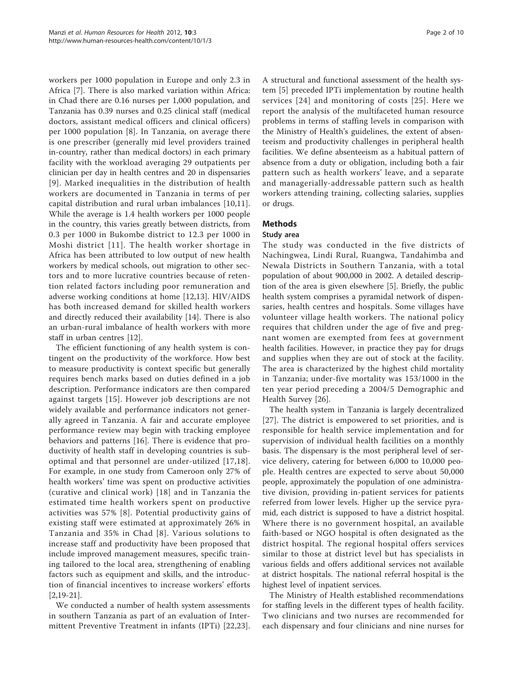workers per 1000 population in Europe and only 2.3 in Africa [\[7](#page-8-0)]. There is also marked variation within Africa: in Chad there are 0.16 nurses per 1,000 population, and Tanzania has 0.39 nurses and 0.25 clinical staff (medical doctors, assistant medical officers and clinical officers) per 1000 population [\[8](#page-8-0)]. In Tanzania, on average there is one prescriber (generally mid level providers trained in-country, rather than medical doctors) in each primary facility with the workload averaging 29 outpatients per clinician per day in health centres and 20 in dispensaries [[9](#page-8-0)]. Marked inequalities in the distribution of health workers are documented in Tanzania in terms of per capital distribution and rural urban imbalances [[10,11](#page-8-0)]. While the average is 1.4 health workers per 1000 people in the country, this varies greatly between districts, from 0.3 per 1000 in Bukombe district to 12.3 per 1000 in Moshi district [[11\]](#page-8-0). The health worker shortage in Africa has been attributed to low output of new health workers by medical schools, out migration to other sectors and to more lucrative countries because of retention related factors including poor remuneration and adverse working conditions at home [[12,13\]](#page-8-0). HIV/AIDS has both increased demand for skilled health workers and directly reduced their availability [\[14](#page-8-0)]. There is also an urban-rural imbalance of health workers with more staff in urban centres [[12](#page-8-0)].

The efficient functioning of any health system is contingent on the productivity of the workforce. How best to measure productivity is context specific but generally requires bench marks based on duties defined in a job description. Performance indicators are then compared against targets [[15](#page-8-0)]. However job descriptions are not widely available and performance indicators not generally agreed in Tanzania. A fair and accurate employee performance review may begin with tracking employee behaviors and patterns [[16\]](#page-8-0). There is evidence that productivity of health staff in developing countries is suboptimal and that personnel are under-utilized [[17](#page-8-0),[18](#page-8-0)]. For example, in one study from Cameroon only 27% of health workers' time was spent on productive activities (curative and clinical work) [[18](#page-8-0)] and in Tanzania the estimated time health workers spent on productive activities was 57% [[8\]](#page-8-0). Potential productivity gains of existing staff were estimated at approximately 26% in Tanzania and 35% in Chad [[8](#page-8-0)]. Various solutions to increase staff and productivity have been proposed that include improved management measures, specific training tailored to the local area, strengthening of enabling factors such as equipment and skills, and the introduction of financial incentives to increase workers' efforts [[2,19-21\]](#page-8-0).

We conducted a number of health system assessments in southern Tanzania as part of an evaluation of Intermittent Preventive Treatment in infants (IPTi) [[22,23](#page-8-0)].

A structural and functional assessment of the health system [[5\]](#page-8-0) preceded IPTi implementation by routine health services [[24\]](#page-8-0) and monitoring of costs [[25\]](#page-9-0). Here we report the analysis of the multifaceted human resource problems in terms of staffing levels in comparison with the Ministry of Health's guidelines, the extent of absenteeism and productivity challenges in peripheral health facilities. We define absenteeism as a habitual pattern of absence from a duty or obligation, including both a fair pattern such as health workers' leave, and a separate and managerially-addressable pattern such as health workers attending training, collecting salaries, supplies or drugs.

# Methods

# Study area

The study was conducted in the five districts of Nachingwea, Lindi Rural, Ruangwa, Tandahimba and Newala Districts in Southern Tanzania, with a total population of about 900,000 in 2002. A detailed description of the area is given elsewhere [\[5](#page-8-0)]. Briefly, the public health system comprises a pyramidal network of dispensaries, health centres and hospitals. Some villages have volunteer village health workers. The national policy requires that children under the age of five and pregnant women are exempted from fees at government health facilities. However, in practice they pay for drugs and supplies when they are out of stock at the facility. The area is characterized by the highest child mortality in Tanzania; under-five mortality was 153/1000 in the ten year period preceding a 2004/5 Demographic and Health Survey [[26\]](#page-9-0).

The health system in Tanzania is largely decentralized [[27](#page-9-0)]. The district is empowered to set priorities, and is responsible for health service implementation and for supervision of individual health facilities on a monthly basis. The dispensary is the most peripheral level of service delivery, catering for between 6,000 to 10,000 people. Health centres are expected to serve about 50,000 people, approximately the population of one administrative division, providing in-patient services for patients referred from lower levels. Higher up the service pyramid, each district is supposed to have a district hospital. Where there is no government hospital, an available faith-based or NGO hospital is often designated as the district hospital. The regional hospital offers services similar to those at district level but has specialists in various fields and offers additional services not available at district hospitals. The national referral hospital is the highest level of inpatient services.

The Ministry of Health established recommendations for staffing levels in the different types of health facility. Two clinicians and two nurses are recommended for each dispensary and four clinicians and nine nurses for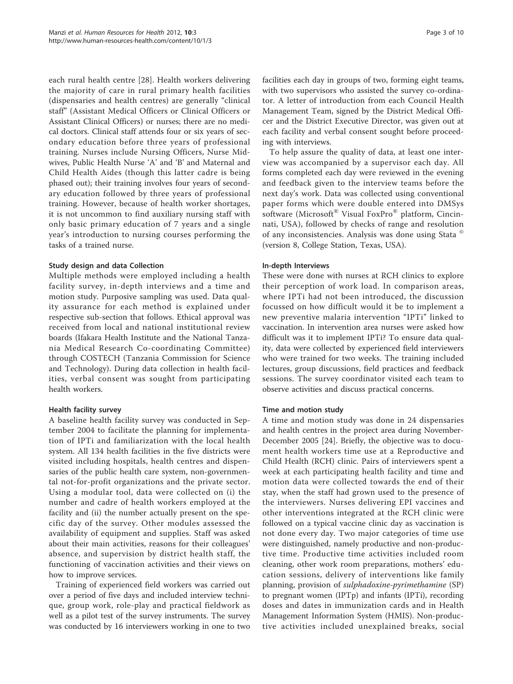each rural health centre [[28\]](#page-9-0). Health workers delivering the majority of care in rural primary health facilities (dispensaries and health centres) are generally "clinical staff" (Assistant Medical Officers or Clinical Officers or Assistant Clinical Officers) or nurses; there are no medical doctors. Clinical staff attends four or six years of secondary education before three years of professional training. Nurses include Nursing Officers, Nurse Midwives, Public Health Nurse 'A' and 'B' and Maternal and Child Health Aides (though this latter cadre is being phased out); their training involves four years of secondary education followed by three years of professional training. However, because of health worker shortages, it is not uncommon to find auxiliary nursing staff with only basic primary education of 7 years and a single year's introduction to nursing courses performing the tasks of a trained nurse.

# Study design and data Collection

Multiple methods were employed including a health facility survey, in-depth interviews and a time and motion study. Purposive sampling was used. Data quality assurance for each method is explained under respective sub-section that follows. Ethical approval was received from local and national institutional review boards (Ifakara Health Institute and the National Tanzania Medical Research Co-coordinating Committee) through COSTECH (Tanzania Commission for Science and Technology). During data collection in health facilities, verbal consent was sought from participating health workers.

# Health facility survey

A baseline health facility survey was conducted in September 2004 to facilitate the planning for implementation of IPTi and familiarization with the local health system. All 134 health facilities in the five districts were visited including hospitals, health centres and dispensaries of the public health care system, non-governmental not-for-profit organizations and the private sector. Using a modular tool, data were collected on (i) the number and cadre of health workers employed at the facility and (ii) the number actually present on the specific day of the survey. Other modules assessed the availability of equipment and supplies. Staff was asked about their main activities, reasons for their colleagues' absence, and supervision by district health staff, the functioning of vaccination activities and their views on how to improve services.

Training of experienced field workers was carried out over a period of five days and included interview technique, group work, role-play and practical fieldwork as well as a pilot test of the survey instruments. The survey was conducted by 16 interviewers working in one to two facilities each day in groups of two, forming eight teams, with two supervisors who assisted the survey co-ordinator. A letter of introduction from each Council Health Management Team, signed by the District Medical Officer and the District Executive Director, was given out at each facility and verbal consent sought before proceeding with interviews.

To help assure the quality of data, at least one interview was accompanied by a supervisor each day. All forms completed each day were reviewed in the evening and feedback given to the interview teams before the next day's work. Data was collected using conventional paper forms which were double entered into DMSys software (Microsoft® Visual FoxPro® platform, Cincinnati, USA), followed by checks of range and resolution of any inconsistencies. Analysis was done using Stata © (version 8, College Station, Texas, USA).

# In-depth Interviews

These were done with nurses at RCH clinics to explore their perception of work load. In comparison areas, where IPTi had not been introduced, the discussion focussed on how difficult would it be to implement a new preventive malaria intervention "IPTi" linked to vaccination. In intervention area nurses were asked how difficult was it to implement IPTi? To ensure data quality, data were collected by experienced field interviewers who were trained for two weeks. The training included lectures, group discussions, field practices and feedback sessions. The survey coordinator visited each team to observe activities and discuss practical concerns.

# Time and motion study

A time and motion study was done in 24 dispensaries and health centres in the project area during November-December 2005 [[24\]](#page-8-0). Briefly, the objective was to document health workers time use at a Reproductive and Child Health (RCH) clinic. Pairs of interviewers spent a week at each participating health facility and time and motion data were collected towards the end of their stay, when the staff had grown used to the presence of the interviewers. Nurses delivering EPI vaccines and other interventions integrated at the RCH clinic were followed on a typical vaccine clinic day as vaccination is not done every day. Two major categories of time use were distinguished, namely productive and non-productive time. Productive time activities included room cleaning, other work room preparations, mothers' education sessions, delivery of interventions like family planning, provision of sulphadoxine-pyrimethamine (SP) to pregnant women (IPTp) and infants (IPTi), recording doses and dates in immunization cards and in Health Management Information System (HMIS). Non-productive activities included unexplained breaks, social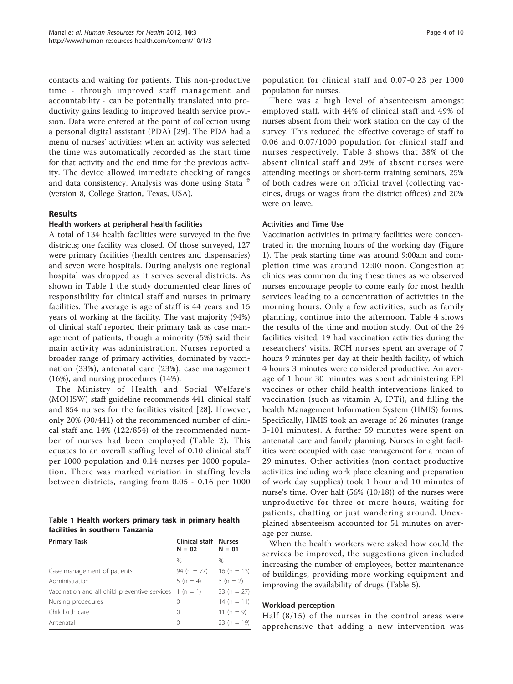contacts and waiting for patients. This non-productive time - through improved staff management and accountability - can be potentially translated into productivity gains leading to improved health service provision. Data were entered at the point of collection using a personal digital assistant (PDA) [[29](#page-9-0)]. The PDA had a menu of nurses' activities; when an activity was selected the time was automatically recorded as the start time for that activity and the end time for the previous activity. The device allowed immediate checking of ranges and data consistency. Analysis was done using Stata © (version 8, College Station, Texas, USA).

# Results

### Health workers at peripheral health facilities

A total of 134 health facilities were surveyed in the five districts; one facility was closed. Of those surveyed, 127 were primary facilities (health centres and dispensaries) and seven were hospitals. During analysis one regional hospital was dropped as it serves several districts. As shown in Table 1 the study documented clear lines of responsibility for clinical staff and nurses in primary facilities. The average is age of staff is 44 years and 15 years of working at the facility. The vast majority (94%) of clinical staff reported their primary task as case management of patients, though a minority (5%) said their main activity was administration. Nurses reported a broader range of primary activities, dominated by vaccination (33%), antenatal care (23%), case management (16%), and nursing procedures (14%).

The Ministry of Health and Social Welfare's (MOHSW) staff guideline recommends 441 clinical staff and 854 nurses for the facilities visited [\[28](#page-9-0)]. However, only 20% (90/441) of the recommended number of clinical staff and 14% (122/854) of the recommended number of nurses had been employed (Table [2\)](#page-4-0). This equates to an overall staffing level of 0.10 clinical staff per 1000 population and 0.14 nurses per 1000 population. There was marked variation in staffing levels between districts, ranging from 0.05 - 0.16 per 1000

Table 1 Health workers primary task in primary health facilities in southern Tanzania

| <b>Primary Task</b>                                      | <b>Clinical staff Nurses</b><br>$N = 82$ | $N = 81$       |
|----------------------------------------------------------|------------------------------------------|----------------|
|                                                          | $\%$                                     | $\frac{0}{0}$  |
| Case management of patients                              | $94 (n = 77)$                            | $16(n = 13)$   |
| Administration                                           | $5(n = 4)$                               | $3(n = 2)$     |
| Vaccination and all child preventive services $1(n = 1)$ |                                          | $33(n = 27)$   |
| Nursing procedures                                       | $\left( \right)$                         | 14 (n = 11)    |
| Childbirth care                                          | 0                                        | 11 ( $n = 9$ ) |
| Antenatal                                                | $\Omega$                                 | $23(n = 19)$   |

population for clinical staff and 0.07-0.23 per 1000 population for nurses.

There was a high level of absenteeism amongst employed staff, with 44% of clinical staff and 49% of nurses absent from their work station on the day of the survey. This reduced the effective coverage of staff to 0.06 and 0.07/1000 population for clinical staff and nurses respectively. Table [3](#page-4-0) shows that 38% of the absent clinical staff and 29% of absent nurses were attending meetings or short-term training seminars, 25% of both cadres were on official travel (collecting vaccines, drugs or wages from the district offices) and 20% were on leave.

### Activities and Time Use

Vaccination activities in primary facilities were concentrated in the morning hours of the working day (Figure [1\)](#page-5-0). The peak starting time was around 9:00am and completion time was around 12:00 noon. Congestion at clinics was common during these times as we observed nurses encourage people to come early for most health services leading to a concentration of activities in the morning hours. Only a few activities, such as family planning, continue into the afternoon. Table [4](#page-5-0) shows the results of the time and motion study. Out of the 24 facilities visited, 19 had vaccination activities during the researchers' visits. RCH nurses spent an average of 7 hours 9 minutes per day at their health facility, of which 4 hours 3 minutes were considered productive. An average of 1 hour 30 minutes was spent administering EPI vaccines or other child health interventions linked to vaccination (such as vitamin A, IPTi), and filling the health Management Information System (HMIS) forms. Specifically, HMIS took an average of 26 minutes (range 3-101 minutes). A further 59 minutes were spent on antenatal care and family planning. Nurses in eight facilities were occupied with case management for a mean of 29 minutes. Other activities (non contact productive activities including work place cleaning and preparation of work day supplies) took 1 hour and 10 minutes of nurse's time. Over half (56% (10/18)) of the nurses were unproductive for three or more hours, waiting for patients, chatting or just wandering around. Unexplained absenteeism accounted for 51 minutes on average per nurse.

When the health workers were asked how could the services be improved, the suggestions given included increasing the number of employees, better maintenance of buildings, providing more working equipment and improving the availability of drugs (Table [5](#page-6-0)).

#### Workload perception

Half (8/15) of the nurses in the control areas were apprehensive that adding a new intervention was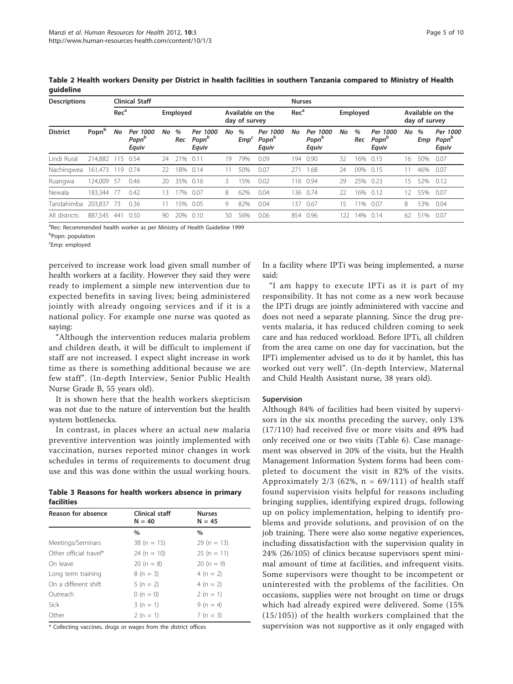| <b>Descriptions</b> |                   | <b>Clinical Staff</b> |                                        |    |          |                                        |    | <b>Nurses</b>         |                                        |                  |                                        |     |             |                                        |    |               |                                        |
|---------------------|-------------------|-----------------------|----------------------------------------|----|----------|----------------------------------------|----|-----------------------|----------------------------------------|------------------|----------------------------------------|-----|-------------|----------------------------------------|----|---------------|----------------------------------------|
|                     |                   | Rec <sup>a</sup>      |                                        |    | Employed |                                        |    | day of survey         | Available on the                       | Rec <sup>a</sup> |                                        |     | Employed    |                                        |    | day of survey | Available on the                       |
| <b>District</b>     | Popn <sup>b</sup> | No                    | Per 1000<br>Popn <sup>b</sup><br>Equiv | No | %<br>Rec | Per 1000<br>Popn <sup>b</sup><br>Equiv | No | %<br>Emp <sup>c</sup> | Per 1000<br>Popn <sup>b</sup><br>Equiv | No               | Per 1000<br>Popn <sup>o</sup><br>Equiv | No  | $\%$<br>Rec | Per 1000<br>Popn <sup>b</sup><br>Equiv | No | $\%$<br>Emp   | Per 1000<br>Popn <sup>o</sup><br>Equiv |
| Lindi Rural         | 214.882           | - 115                 | 0.54                                   | 24 | 21%      | 0.11                                   | 19 | 79%                   | 0.09                                   | 194              | 0.90                                   | 32  | 16%         | 0.15                                   | 16 | 50%           | 0.07                                   |
| Nachingwea          | 161.473 119       |                       | 0.74                                   | 22 | 18%      | 0.14                                   |    | 50%                   | 0.07                                   | 271              | 1.68                                   | 24  | 09%         | 0.15                                   |    | 46%           | 0.07                                   |
| Ruangwa             | 124.009           | -57                   | 0.46                                   | 20 | 35%      | 0.16                                   | 3  | 5%                    | 0.02                                   | 116              | 0.94                                   | 29  | 25%         | 0.23                                   | 15 | 52%           | 0.12                                   |
| Newala              | 183.344           | - 77                  | 0.42                                   | 13 | 7%       | 0.07                                   | 8  | 62%                   | 0.04                                   | 136              | 0.74                                   | 22  | 16%         | 0.12                                   |    | 55%           | 0.07                                   |
| Tandahimba          | 203.837           | - 73                  | 0.36                                   |    | 5%       | 0.05                                   | 9  | 82%                   | 0.04                                   | 137              | 0.67                                   | 15  | 1%          | 0.07                                   | 8  | 53%           | 0.04                                   |
| All districts       | 887.545           | -441                  | 0.50                                   | 90 | 20%      | 0.10                                   | 50 | 56%                   | 0.06                                   | 854              | 0.96                                   | 122 | 14%         | 0.14                                   | 62 | 51%           | 0.07                                   |

<span id="page-4-0"></span>Table 2 Health workers Density per District in health facilities in southern Tanzania compared to Ministry of Health guideline

<sup>a</sup>Rec: Recommended health worker as per Ministry of Health Guideline 1999

<sup>b</sup>Popn: population

<sup>c</sup>Emp: employed

perceived to increase work load given small number of health workers at a facility. However they said they were ready to implement a simple new intervention due to expected benefits in saving lives; being administered jointly with already ongoing services and if it is a national policy. For example one nurse was quoted as saying:

"Although the intervention reduces malaria problem and children death, it will be difficult to implement if staff are not increased. I expect slight increase in work time as there is something additional because we are few staff". (In-depth Interview, Senior Public Health Nurse Grade B, 55 years old).

It is shown here that the health workers skepticism was not due to the nature of intervention but the health system bottlenecks.

In contrast, in places where an actual new malaria preventive intervention was jointly implemented with vaccination, nurses reported minor changes in work schedules in terms of requirements to document drug use and this was done within the usual working hours.

|            | Table 3 Reasons for health workers absence in primary |  |  |  |
|------------|-------------------------------------------------------|--|--|--|
| facilities |                                                       |  |  |  |

| Reason for absence     | Clinical staff<br>$N = 40$ | <b>Nurses</b><br>$N = 45$ |
|------------------------|----------------------------|---------------------------|
|                        | $\%$                       | $\%$                      |
| Meetings/Seminars      | $38(n = 15)$               | $29(n = 13)$              |
| Other official travel* | $24 (n = 10)$              | $25(n = 11)$              |
| On leave               | $20(n = 8)$                | $20(n = 9)$               |
| Long term training     | $8(n = 3)$                 | 4 (n = 2)                 |
| On a different shift   | 5 (n = 2)                  | 4 (n = 2)                 |
| Outreach               | $0(n = 0)$                 | $2(n = 1)$                |
| Sick                   | $3(n = 1)$                 | $9(n = 4)$                |
| Other                  | $2(n = 1)$                 | $7 (n = 3)$               |

\* Collecting vaccines, drugs or wages from the district offices

In a facility where IPTi was being implemented, a nurse said:

"I am happy to execute IPTi as it is part of my responsibility. It has not come as a new work because the IPTi drugs are jointly administered with vaccine and does not need a separate planning. Since the drug prevents malaria, it has reduced children coming to seek care and has reduced workload. Before IPTi, all children from the area came on one day for vaccination, but the IPTi implementer advised us to do it by hamlet, this has worked out very well". (In-depth Interview, Maternal and Child Health Assistant nurse, 38 years old).

#### Supervision

Although 84% of facilities had been visited by supervisors in the six months preceding the survey, only 13% (17/110) had received five or more visits and 49% had only received one or two visits (Table [6\)](#page-6-0). Case management was observed in 20% of the visits, but the Health Management Information System forms had been completed to document the visit in 82% of the visits. Approximately  $2/3$  (62%, n = 69/111) of health staff found supervision visits helpful for reasons including bringing supplies, identifying expired drugs, following up on policy implementation, helping to identify problems and provide solutions, and provision of on the job training. There were also some negative experiences, including dissatisfaction with the supervision quality in 24% (26/105) of clinics because supervisors spent minimal amount of time at facilities, and infrequent visits. Some supervisors were thought to be incompetent or uninterested with the problems of the facilities. On occasions, supplies were not brought on time or drugs which had already expired were delivered. Some (15% (15/105)) of the health workers complained that the supervision was not supportive as it only engaged with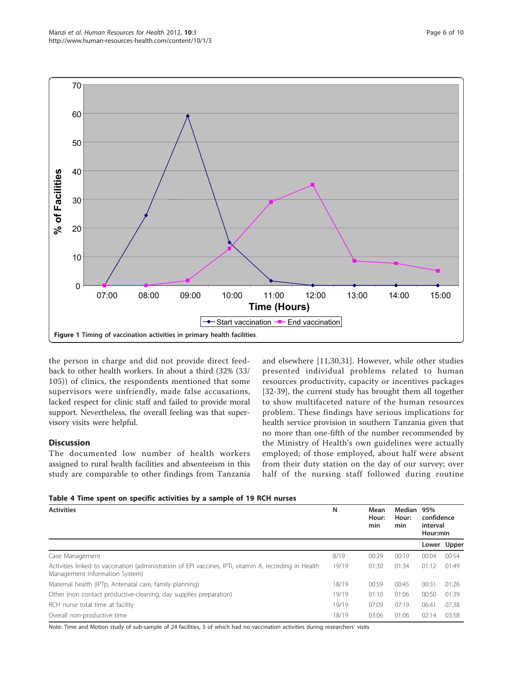<span id="page-5-0"></span>

the person in charge and did not provide direct feedback to other health workers. In about a third (32% (33/ 105)) of clinics, the respondents mentioned that some supervisors were unfriendly, made false accusations, lacked respect for clinic staff and failed to provide moral support. Nevertheless, the overall feeling was that supervisory visits were helpful.

# **Discussion**

The documented low number of health workers assigned to rural health facilities and absenteeism in this study are comparable to other findings from Tanzania and elsewhere [\[11](#page-8-0),[30,31\]](#page-9-0). However, while other studies presented individual problems related to human resources productivity, capacity or incentives packages [[32-39](#page-9-0)], the current study has brought them all together to show multifaceted nature of the human resources problem. These findings have serious implications for health service provision in southern Tanzania given that no more than one-fifth of the number recommended by the Ministry of Health's own guidelines were actually employed; of those employed, about half were absent from their duty station on the day of our survey; over half of the nursing staff followed during routine

|  | Table 4 Time spent on specific activities by a sample of 19 RCH nurses |  |  |  |
|--|------------------------------------------------------------------------|--|--|--|
|--|------------------------------------------------------------------------|--|--|--|

| <b>Activities</b>                                                                                                                        | N     | Mean<br>Hour:<br>min | Median<br>Hour:<br>min | 95%<br>confidence<br>interval<br>Hour:min |       |
|------------------------------------------------------------------------------------------------------------------------------------------|-------|----------------------|------------------------|-------------------------------------------|-------|
|                                                                                                                                          |       |                      |                        | Lower                                     | Upper |
| Case Management                                                                                                                          | 8/19  | 00:29                | 00:19                  | 00:04                                     | 00:54 |
| Activities linked to vaccination (administration of EPI vaccines, IPTi, vitamin A, recording in Health<br>Management Information System) | 19/19 | 01:30                | 01:34                  | 01:12                                     | 01:49 |
| Maternal health (IPTp, Antenatal care, family planning)                                                                                  | 18/19 | 00:59                | 00:45                  | 00:31                                     | 01:26 |
| Other (non contact productive-cleaning, day supplies preparation)                                                                        | 19/19 | 01:10                | 01:06                  | 00:50                                     | 01:39 |
| RCH nurse total time at facility                                                                                                         | 19/19 | 07:09                | 07:19                  | 06:41                                     | 07:38 |
| Overall non-productive time                                                                                                              | 18/19 | 03:06                | 01:06                  | 02:14                                     | 03:58 |

Note: Time and Motion study of sub-sample of 24 facilities, 5 of which had no vaccination activities during researchers' visits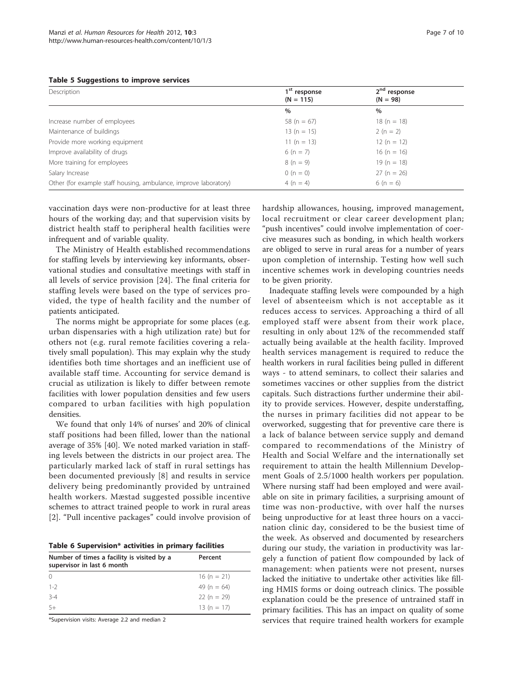<span id="page-6-0"></span>

|  |  | <b>Table 5 Suggestions to improve services</b> |  |  |  |
|--|--|------------------------------------------------|--|--|--|
|--|--|------------------------------------------------|--|--|--|

| Description                                                      | 1 <sup>st</sup> response<br>$(N = 115)$ | 2 <sup>nd</sup> response<br>$(N = 98)$ |  |
|------------------------------------------------------------------|-----------------------------------------|----------------------------------------|--|
|                                                                  | $\%$                                    | $\%$                                   |  |
| Increase number of employees                                     | 58 (n = $67$ )                          | $18(n = 18)$                           |  |
| Maintenance of buildings                                         | $13(n = 15)$                            | $2(n = 2)$                             |  |
| Provide more working equipment                                   | 11 (n = 13)                             | $12(n = 12)$                           |  |
| Improve availability of drugs                                    | 6 (n = 7)                               | $16(n = 16)$                           |  |
| More training for employees                                      | $8(n = 9)$                              | $19(n = 18)$                           |  |
| Salary Increase                                                  | $0(n = 0)$                              | $27 (n = 26)$                          |  |
| Other (for example staff housing, ambulance, improve laboratory) | $4(n = 4)$                              | 6 (n = 6)                              |  |

vaccination days were non-productive for at least three hours of the working day; and that supervision visits by district health staff to peripheral health facilities were infrequent and of variable quality.

The Ministry of Health established recommendations for staffing levels by interviewing key informants, observational studies and consultative meetings with staff in all levels of service provision [[24](#page-8-0)]. The final criteria for staffing levels were based on the type of services provided, the type of health facility and the number of patients anticipated.

The norms might be appropriate for some places (e.g. urban dispensaries with a high utilization rate) but for others not (e.g. rural remote facilities covering a relatively small population). This may explain why the study identifies both time shortages and an inefficient use of available staff time. Accounting for service demand is crucial as utilization is likely to differ between remote facilities with lower population densities and few users compared to urban facilities with high population densities.

We found that only 14% of nurses' and 20% of clinical staff positions had been filled, lower than the national average of 35% [\[40\]](#page-9-0). We noted marked variation in staffing levels between the districts in our project area. The particularly marked lack of staff in rural settings has been documented previously [[8](#page-8-0)] and results in service delivery being predominantly provided by untrained health workers. Mæstad suggested possible incentive schemes to attract trained people to work in rural areas [[2\]](#page-8-0). "Pull incentive packages" could involve provision of

|  | Table 6 Supervision* activities in primary facilities |  |  |  |
|--|-------------------------------------------------------|--|--|--|
|--|-------------------------------------------------------|--|--|--|

| Number of times a facility is visited by a<br>supervisor in last 6 month | Percent        |
|--------------------------------------------------------------------------|----------------|
|                                                                          | 16 (n = 21)    |
| $1 - 2$                                                                  | 49 (n = $64$ ) |
| $3 - 4$                                                                  | $22 (n = 29)$  |
| $5+$                                                                     | 13 (n = 17)    |

\*Supervision visits: Average 2.2 and median 2

hardship allowances, housing, improved management, local recruitment or clear career development plan; "push incentives" could involve implementation of coercive measures such as bonding, in which health workers are obliged to serve in rural areas for a number of years upon completion of internship. Testing how well such incentive schemes work in developing countries needs to be given priority.

Inadequate staffing levels were compounded by a high level of absenteeism which is not acceptable as it reduces access to services. Approaching a third of all employed staff were absent from their work place, resulting in only about 12% of the recommended staff actually being available at the health facility. Improved health services management is required to reduce the health workers in rural facilities being pulled in different ways - to attend seminars, to collect their salaries and sometimes vaccines or other supplies from the district capitals. Such distractions further undermine their ability to provide services. However, despite understaffing, the nurses in primary facilities did not appear to be overworked, suggesting that for preventive care there is a lack of balance between service supply and demand compared to recommendations of the Ministry of Health and Social Welfare and the internationally set requirement to attain the health Millennium Development Goals of 2.5/1000 health workers per population. Where nursing staff had been employed and were available on site in primary facilities, a surprising amount of time was non-productive, with over half the nurses being unproductive for at least three hours on a vaccination clinic day, considered to be the busiest time of the week. As observed and documented by researchers during our study, the variation in productivity was largely a function of patient flow compounded by lack of management: when patients were not present, nurses lacked the initiative to undertake other activities like filling HMIS forms or doing outreach clinics. The possible explanation could be the presence of untrained staff in primary facilities. This has an impact on quality of some services that require trained health workers for example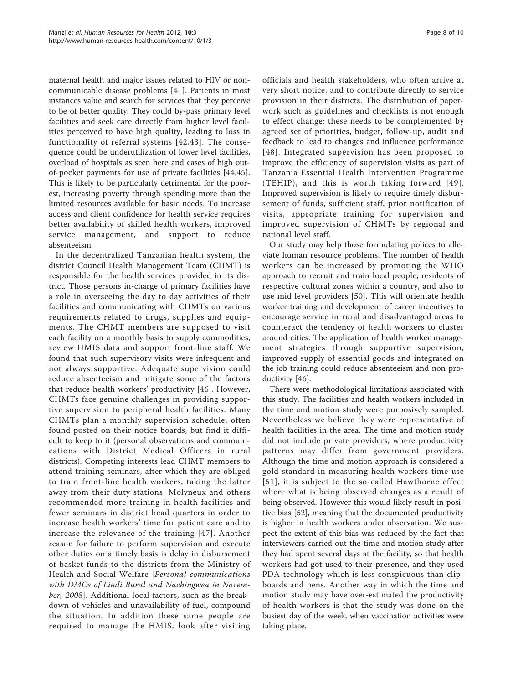maternal health and major issues related to HIV or noncommunicable disease problems [\[41\]](#page-9-0). Patients in most instances value and search for services that they perceive to be of better quality. They could by-pass primary level facilities and seek care directly from higher level facilities perceived to have high quality, leading to loss in functionality of referral systems [[42,43](#page-9-0)]. The consequence could be underutilization of lower level facilities, overload of hospitals as seen here and cases of high outof-pocket payments for use of private facilities [[44,45](#page-9-0)]. This is likely to be particularly detrimental for the poorest, increasing poverty through spending more than the limited resources available for basic needs. To increase access and client confidence for health service requires better availability of skilled health workers, improved service management, and support to reduce absenteeism.

In the decentralized Tanzanian health system, the district Council Health Management Team (CHMT) is responsible for the health services provided in its district. Those persons in-charge of primary facilities have a role in overseeing the day to day activities of their facilities and communicating with CHMTs on various requirements related to drugs, supplies and equipments. The CHMT members are supposed to visit each facility on a monthly basis to supply commodities, review HMIS data and support front-line staff. We found that such supervisory visits were infrequent and not always supportive. Adequate supervision could reduce absenteeism and mitigate some of the factors that reduce health workers' productivity [\[46](#page-9-0)]. However, CHMTs face genuine challenges in providing supportive supervision to peripheral health facilities. Many CHMTs plan a monthly supervision schedule, often found posted on their notice boards, but find it difficult to keep to it (personal observations and communications with District Medical Officers in rural districts). Competing interests lead CHMT members to attend training seminars, after which they are obliged to train front-line health workers, taking the latter away from their duty stations. Molyneux and others recommended more training in health facilities and fewer seminars in district head quarters in order to increase health workers' time for patient care and to increase the relevance of the training [\[47](#page-9-0)]. Another reason for failure to perform supervision and execute other duties on a timely basis is delay in disbursement of basket funds to the districts from the Ministry of Health and Social Welfare [Personal communications with DMOs of Lindi Rural and Nachingwea in November, 2008]. Additional local factors, such as the breakdown of vehicles and unavailability of fuel, compound the situation. In addition these same people are required to manage the HMIS, look after visiting officials and health stakeholders, who often arrive at very short notice, and to contribute directly to service provision in their districts. The distribution of paperwork such as guidelines and checklists is not enough to effect change: these needs to be complemented by agreed set of priorities, budget, follow-up, audit and feedback to lead to changes and influence performance [[48](#page-9-0)]. Integrated supervision has been proposed to improve the efficiency of supervision visits as part of Tanzania Essential Health Intervention Programme (TEHIP), and this is worth taking forward [[49\]](#page-9-0). Improved supervision is likely to require timely disbursement of funds, sufficient staff, prior notification of visits, appropriate training for supervision and improved supervision of CHMTs by regional and national level staff.

Our study may help those formulating polices to alleviate human resource problems. The number of health workers can be increased by promoting the WHO approach to recruit and train local people, residents of respective cultural zones within a country, and also to use mid level providers [\[50](#page-8-0)]. This will orientate health worker training and development of career incentives to encourage service in rural and disadvantaged areas to counteract the tendency of health workers to cluster around cities. The application of health worker management strategies through supportive supervision, improved supply of essential goods and integrated on the job training could reduce absenteeism and non productivity [\[46\]](#page-9-0).

There were methodological limitations associated with this study. The facilities and health workers included in the time and motion study were purposively sampled. Nevertheless we believe they were representative of health facilities in the area. The time and motion study did not include private providers, where productivity patterns may differ from government providers. Although the time and motion approach is considered a gold standard in measuring health workers time use [[51](#page-9-0)], it is subject to the so-called Hawthorne effect where what is being observed changes as a result of being observed. However this would likely result in positive bias [[52](#page-9-0)], meaning that the documented productivity is higher in health workers under observation. We suspect the extent of this bias was reduced by the fact that interviewers carried out the time and motion study after they had spent several days at the facility, so that health workers had got used to their presence, and they used PDA technology which is less conspicuous than clipboards and pens. Another way in which the time and motion study may have over-estimated the productivity of health workers is that the study was done on the busiest day of the week, when vaccination activities were taking place.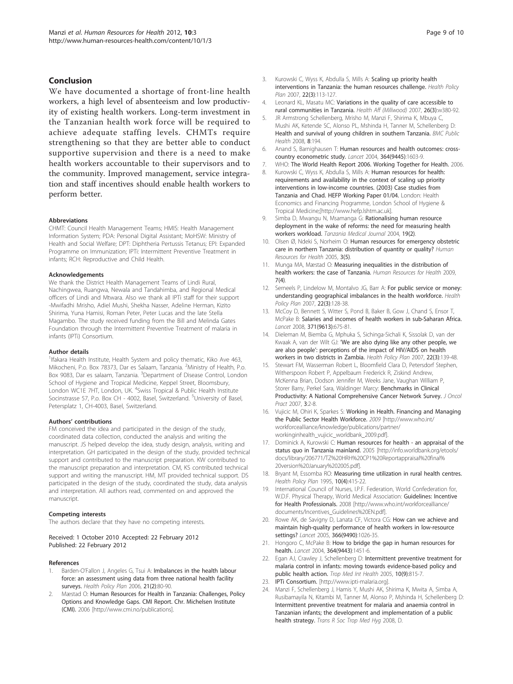## <span id="page-8-0"></span>Conclusion

We have documented a shortage of front-line health workers, a high level of absenteeism and low productivity of existing health workers. Long-term investment in the Tanzanian health work force will be required to achieve adequate staffing levels. CHMTs require strengthening so that they are better able to conduct supportive supervision and there is a need to make health workers accountable to their supervisors and to the community. Improved management, service integration and staff incentives should enable health workers to perform better.

#### Abbreviations

CHMT: Council Health Management Teams; HMIS: Health Management Information System; PDA: Personal Digital Assistant; MoHSW: Ministry of Health and Social Welfare; DPT: Diphtheria Pertussis Tetanus; EPI: Expanded Programme on Immunization; IPTi: Intermittent Preventive Treatment in infants; RCH: Reproductive and Child Health.

#### Acknowledgements

We thank the District Health Management Teams of Lindi Rural, Nachingwea, Ruangwa, Newala and Tandahimba, and Regional Medical officers of Lindi and Mtwara. Also we thank all IPTi staff for their support -Mwifadhi Mrisho, Adiel Mushi, Shekha Nasser, Adeline Herman, Kizito Shirima, Yuna Hamisi, Roman Peter, Peter Lucas and the late Stella Magambo. The study received funding from the Bill and Melinda Gates Foundation through the Intermittent Preventive Treatment of malaria in infants (IPTi) Consortium.

#### Author details

<sup>1</sup> Ifakara Health Institute, Health System and policy thematic, Kiko Ave 463, Mikocheni, P.o. Box 78373, Dar es Salaam, Tanzania. <sup>2</sup>Ministry of Health, P.o. Box 9083, Dar es salaam, Tanzania. <sup>3</sup>Department of Disease Control, London School of Hygiene and Tropical Medicine, Keppel Street, Bloomsbury, London WC1E 7HT, London, UK. <sup>4</sup>Swiss Tropical & Public Health Institute Socinstrasse 57, P.o. Box CH - 4002, Basel, Switzerland. <sup>5</sup>University of Basel, Petersplatz 1, CH-4003, Basel, Switzerland.

#### Authors' contributions

FM conceived the idea and participated in the design of the study, coordinated data collection, conducted the analysis and writing the manuscript. JS helped develop the idea, study design, analysis, writing and interpretation. GH participated in the design of the study, provided technical support and contributed to the manuscript preparation. KW contributed to the manuscript preparation and interpretation. CM, KS contributed technical support and writing the manuscript. HM, MT provided technical support. DS participated in the design of the study, coordinated the study, data analysis and interpretation. All authors read, commented on and approved the manuscript.

#### Competing interests

The authors declare that they have no competing interests.

Received: 1 October 2010 Accepted: 22 February 2012 Published: 22 February 2012

#### References

- 1. Barden-O'Fallon J, Angeles G, Tsui A: [Imbalances in the health labour](http://www.ncbi.nlm.nih.gov/pubmed/16434424?dopt=Abstract) [force: an assessment using data from three national health facility](http://www.ncbi.nlm.nih.gov/pubmed/16434424?dopt=Abstract) [surveys.](http://www.ncbi.nlm.nih.gov/pubmed/16434424?dopt=Abstract) Health Policy Plan 2006, 21(2):80-90.
- 2. Mæstad O: Human Resources for Health in Tanzania: Challenges, Policy Options and Knowledge Gaps. CMI Report. Chr. Michelsen Institute (CMI). 2006 [[http://www.cmi.no/publications\]](http://www.cmi.no/publications).
- 3. Kurowski C, Wyss K, Abdulla S, Mills A: [Scaling up priority health](http://www.ncbi.nlm.nih.gov/pubmed/17485419?dopt=Abstract) [interventions in Tanzania: the human resources challenge.](http://www.ncbi.nlm.nih.gov/pubmed/17485419?dopt=Abstract) Health Policy Plan 2007, 22(3):113-127.
- Leonard KL, Masatu MC: Variations in the quality of care accessible to rural communities in Tanzania. Health Aff (Millwood) 2007, 26(3):w380-92.
- JR Armstrong Schellenberg, Mrisho M, Manzi F, Shirima K, Mbuya C, Mushi AK, Ketende SC, Alonso PL, Mshinda H, Tanner M, Schellenberg D: [Health and survival of young children in southern Tanzania.](http://www.ncbi.nlm.nih.gov/pubmed/18522737?dopt=Abstract) BMC Public Health 2008, 8:194.
- 6. Anand S, Barnighausen T: [Human resources and health outcomes: cross](http://www.ncbi.nlm.nih.gov/pubmed/15519630?dopt=Abstract)[country econometric study.](http://www.ncbi.nlm.nih.gov/pubmed/15519630?dopt=Abstract) Lancet 2004, 364(9445):1603-9.
- 7. WHO: The World Health Report 2006. Working Together for Health. 2006.
- 8. Kurowski C, Wyss K, Abdulla S, Mills A: Human resources for health: requirements and availability in the context of scaling up priority interventions in low-income countries. (2003) Case studies from Tanzania and Chad. HEFP Working Paper 01/04. London: Health Economics and Financing Programme, London School of Hygiene & Tropical Medicine;[\[http://www.hefp.lshtm.ac.uk\]](http://www.hefp.lshtm.ac.uk).
- 9. Simba D, Mwangu N, Msamanga G: Rationalising human resource deployment in the wake of reforms: the need for measuring health workers workload. Tanzania Medical Journal 2004, 19(2).
- 10. Olsen Ø, Ndeki S, Norheim O: Human resources for emergency obstetric care in northern Tanzania: distribution of quantity or quality? Human Resources for Health 2005, 3(5).
- 11. Munga MA, Mæstad O: Measuring inequalities in the distribution of health workers: the case of Tanzania. Human Resources for Health 2009, 7(4).
- 12. Serneels P, Lindelow M, Montalvo JG, Barr A: [For public service or money:](http://www.ncbi.nlm.nih.gov/pubmed/17463013?dopt=Abstract) [understanding geographical imbalances in the health workforce.](http://www.ncbi.nlm.nih.gov/pubmed/17463013?dopt=Abstract) Health Policy Plan 2007, 22(3):128-38.
- 13. McCoy D, Bennett S, Witter S, Pond B, Baker B, Gow J, Chand S, Ensor T, McPake B: [Salaries and incomes of health workers in sub-Saharan Africa.](http://www.ncbi.nlm.nih.gov/pubmed/18295025?dopt=Abstract) Lancet 2008, 371(9613):675-81.
- 14. Dieleman M, Biemba G, Mphuka S, Sichinga-Sichali K, Sissolak D, van der Kwaak A, van der Wilt GJ: '[We are also dying like any other people, we](http://www.ncbi.nlm.nih.gov/pubmed/17400577?dopt=Abstract) are also people'[: perceptions of the impact of HIV/AIDS on health](http://www.ncbi.nlm.nih.gov/pubmed/17400577?dopt=Abstract) [workers in two districts in Zambia.](http://www.ncbi.nlm.nih.gov/pubmed/17400577?dopt=Abstract) Health Policy Plan 2007, 22(3):139-48.
- 15. Stewart FM, Wasserman Robert L, Bloomfield Clara D, Petersdorf Stephen, Witherspoon Robert P, Appelbaum Frederick R, Ziskind Andrew, McKenna Brian, Dodson Jennifer M, Weeks Jane, Vaughan William P, Storer Barry, Perkel Sara, Waldinger Marcy: [Benchmarks in Clinical](http://www.ncbi.nlm.nih.gov/pubmed/20859362?dopt=Abstract) [Productivity: A National Comprehensive Cancer Network Survey.](http://www.ncbi.nlm.nih.gov/pubmed/20859362?dopt=Abstract) J Oncol Pract 2007, 3:2-8.
- 16. Vujicic M, Ohiri K, Sparkes S: Working in Health. Financing and Managing the Public Sector Health Workforce. 2009 [\[http://www.who.int/](http://www.who.int/workforcealliance/knowledge/publications/partner/workinginhealth_vujicic_worldbank_2009.pdf) [workforcealliance/knowledge/publications/partner/](http://www.who.int/workforcealliance/knowledge/publications/partner/workinginhealth_vujicic_worldbank_2009.pdf) [workinginhealth\\_vujicic\\_worldbank\\_2009.pdf](http://www.who.int/workforcealliance/knowledge/publications/partner/workinginhealth_vujicic_worldbank_2009.pdf)].
- 17. Dominick A, Kurowski C: Human resources for health an appraisal of the status quo in Tanzania mainland. 2005 [\[http://info.worldbank.org/etools/](http://info.worldbank.org/etools/docs/library/206771/TZ%20HRH%20CP1%20Reportappraisal%20final%20version%20January%202005.pdf) [docs/library/206771/TZ%20HRH%20CP1%20Reportappraisal%20final%](http://info.worldbank.org/etools/docs/library/206771/TZ%20HRH%20CP1%20Reportappraisal%20final%20version%20January%202005.pdf) [20version%20January%202005.pdf](http://info.worldbank.org/etools/docs/library/206771/TZ%20HRH%20CP1%20Reportappraisal%20final%20version%20January%202005.pdf)].
- 18. Bryant M, Essomba RO: [Measuring time utilization in rural health centres.](http://www.ncbi.nlm.nih.gov/pubmed/10154363?dopt=Abstract) Health Policy Plan 1995, 10(4):415-22.
- 19. International Council of Nurses, I.P.F. Federation, World Confederation for, W.D.F. Physical Therapy, World Medical Association: Guidelines: Incentive for Health Professionals. 2008 [[http://www.who.int/workforcealliance/](http://www.who.int/workforcealliance/documents/Incentives_Guidelines%20EN.pdf) [documents/Incentives\\_Guidelines%20EN.pdf\]](http://www.who.int/workforcealliance/documents/Incentives_Guidelines%20EN.pdf).
- 20. Rowe AK, de Savigny D, Lanata CF, Victora CG: [How can we achieve and](http://www.ncbi.nlm.nih.gov/pubmed/16168785?dopt=Abstract) [maintain high-quality performance of health workers in low-resource](http://www.ncbi.nlm.nih.gov/pubmed/16168785?dopt=Abstract) [settings?](http://www.ncbi.nlm.nih.gov/pubmed/16168785?dopt=Abstract) Lancet 2005, 366(9490):1026-35.
- 21. Hongoro C, McPake B: [How to bridge the gap in human resources for](http://www.ncbi.nlm.nih.gov/pubmed/15488222?dopt=Abstract) [health.](http://www.ncbi.nlm.nih.gov/pubmed/15488222?dopt=Abstract) Lancet 2004, 364(9443):1451-6.
- 22. Egan AJ, Crawley J, Schellenberg D: [Intermittent preventive treatment for](http://www.ncbi.nlm.nih.gov/pubmed/16135186?dopt=Abstract) [malaria control in infants: moving towards evidence-based policy and](http://www.ncbi.nlm.nih.gov/pubmed/16135186?dopt=Abstract) [public health action.](http://www.ncbi.nlm.nih.gov/pubmed/16135186?dopt=Abstract) Trop Med Int Health 2005, 10(9):815-7.
- 23. IPTi Consortium. [<http://www.ipti-malaria.org>].
- 24. Manzi F, Schellenberg J, Hamis Y, Mushi AK, Shirima K, Mwita A, Simba A, Rusibamayila N, Kitambi M, Tanner M, Alonso P, Mshinda H, Schellenberg D: Intermittent preventive treatment for malaria and anaemia control in Tanzanian infants; the development and implementation of a public health strategy. Trans R Soc Trop Med Hyg 2008, D.